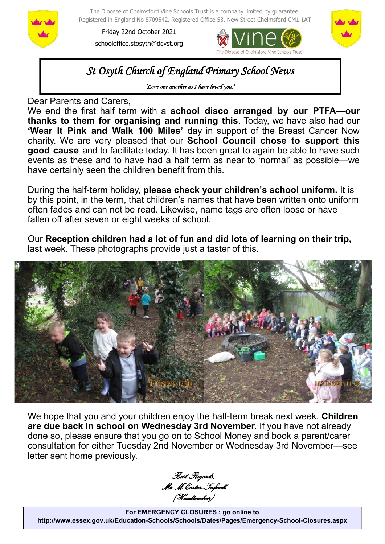

The Diocese of Chelmsford Vine Schools Trust is a company limited by guarantee. Registered in England No 8709542. Registered Office 53, New Street Chelmsford CM1 1AT

Friday 22nd October 2021 schooloffice.stosyth@dcvst.org





*St Osyth Church of England Primary School News* 

*'Love one another as I have loved you.'* 

Dear Parents and Carers,

We end the first half term with a **school disco arranged by our PTFA—our thanks to them for organising and running this**. Today, we have also had our **'Wear It Pink and Walk 100 Miles'** day in support of the Breast Cancer Now charity. We are very pleased that our **School Council chose to support this good cause** and to facilitate today. It has been great to again be able to have such events as these and to have had a half term as near to 'normal' as possible—we have certainly seen the children benefit from this.

During the half-term holiday, **please check your children's school uniform.** It is by this point, in the term, that children's names that have been written onto uniform often fades and can not be read. Likewise, name tags are often loose or have fallen off after seven or eight weeks of school.

Our **Reception children had a lot of fun and did lots of learning on their trip,**  last week. These photographs provide just a taster of this.



We hope that you and your children enjoy the half-term break next week. **Children are due back in school on Wednesday 3rd November.** If you have not already done so, please ensure that you go on to School Money and book a parent/carer consultation for either Tuesday 2nd November or Wednesday 3rd November—see letter sent home previously.

*Best Regards, Mr M Carter-Tufnell (Headteacher)*

**For EMERGENCY CLOSURES : go online to http://www.essex.gov.uk/Education-Schools/Schools/Dates/Pages/Emergency-School-Closures.aspx**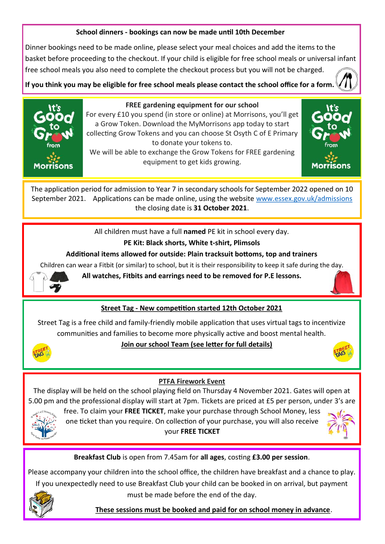#### **School dinners - bookings can now be made until 10th December**

Dinner bookings need to be made online, please select your meal choices and add the items to the basket before proceeding to the checkout. If your child is eligible for free school meals or universal infant free school meals you also need to complete the checkout process but you will not be charged.

**If you think you may be eligible for free school meals please contact the school office for a form.** 



#### **FREE gardening equipment for our school**

For every £10 you spend (in store or online) at Morrisons, you'll get a Grow Token. Download the MyMorrisons app today to start collecting Grow Tokens and you can choose St Osyth C of E Primary to donate your tokens to. We will be able to exchange the Grow Tokens for FREE gardening

equipment to get kids growing.



The application period for admission to Year 7 in secondary schools for September 2022 opened on 10 September 2021. Applications can be made online, using the website [www.essex.gov.uk/admissions](https://gbr01.safelinks.protection.outlook.com/?url=http%3A%2F%2Fwww.essex.gov.uk%2Fadmissions&data=04%7C01%7Cschooloffice.stosyth%40dcvst.org%7C2ef6e01cd56c4e7563a108d9743e1791%7C282c78034b8f4fbda3841682df47e3ad%7C1%7C0%7C637668632287896541%7CUnknown%7CTWFpb) the closing date is **31 October 2021**.

All children must have a full **named** PE kit in school every day.

## **PE Kit: Black shorts, White t-shirt, Plimsols**

## **Additional items allowed for outside: Plain tracksuit bottoms, top and trainers**

Children can wear a Fitbit (or similar) to school, but it is their responsibility to keep it safe during the day.



**All watches, Fitbits and earrings need to be removed for P.E lessons.**

# **Street Tag - New competition started 12th October 2021**

Street Tag is a free child and family-friendly mobile application that uses virtual tags to incentivize communities and families to become more physically active and boost mental health.



#### **Join our school Team (see letter for full details)**



#### **PTFA Firework Event**

The display will be held on the school playing field on Thursday 4 November 2021. Gates will open at 5.00 pm and the professional display will start at 7pm. Tickets are priced at £5 per person, under 3's are



free. To claim your **FREE TICKET**, make your purchase through School Money, less one ticket than you require. On collection of your purchase, you will also receive your **FREE TICKET** 



# **Breakfast Club** is open from 7.45am for **all ages**, costing **£3.00 per session**.

Please accompany your children into the school office, the children have breakfast and a chance to play. If you unexpectedly need to use Breakfast Club your child can be booked in on arrival, but payment must be made before the end of the day.



 **These sessions must be booked and paid for on school money in advance**.